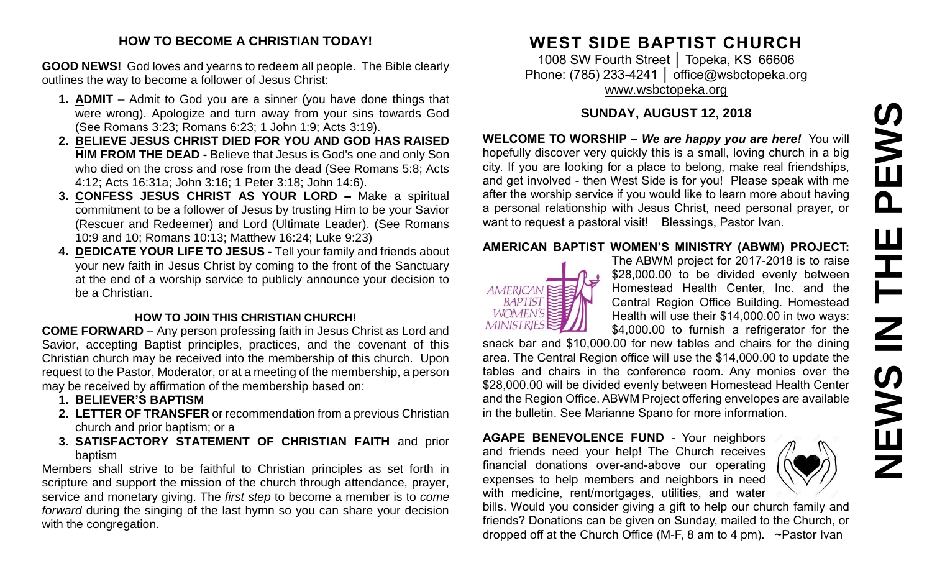# PEWS **NEWS IN THE PEWS**Ш **HH Z SVEMS**

#### **HOW TO BECOME A CHRISTIAN TODAY!**

**GOOD NEWS!** God loves and yearns to redeem all people. The Bible clearly outlines the way to become a follower of Jesus Christ:

- **1. ADMIT** Admit to God you are a sinner (you have done things that were wrong). Apologize and turn away from your sins towards God (See Romans 3:23; Romans 6:23; 1 John 1:9; Acts 3:19).
- **2. BELIEVE JESUS CHRIST DIED FOR YOU AND GOD HAS RAISED HIM FROM THE DEAD -** Believe that Jesus is God's one and only Son who died on the cross and rose from the dead (See Romans 5:8; Acts 4:12; Acts 16:31a; John 3:16; 1 Peter 3:18; John 14:6).
- **3. CONFESS JESUS CHRIST AS YOUR LORD –** Make a spiritual commitment to be a follower of Jesus by trusting Him to be your Savior (Rescuer and Redeemer) and Lord (Ultimate Leader). (See Romans 10:9 and 10; Romans 10:13; Matthew 16:24; Luke 9:23)
- **4. DEDICATE YOUR LIFE TO JESUS -** Tell your family and friends about your new faith in Jesus Christ by coming to the front of the Sanctuary at the end of a worship service to publicly announce your decision to be a Christian.

#### **HOW TO JOIN THIS CHRISTIAN CHURCH!**

**COME FORWARD** – Any person professing faith in Jesus Christ as Lord and Savior, accepting Baptist principles, practices, and the covenant of this Christian church may be received into the membership of this church. Upon request to the Pastor, Moderator, or at a meeting of the membership, a person may be received by affirmation of the membership based on:

- **1. BELIEVER'S BAPTISM**
- **2. LETTER OF TRANSFER** or recommendation from a previous Christian church and prior baptism; or a
- **3. SATISFACTORY STATEMENT OF CHRISTIAN FAITH** and prior baptism

Members shall strive to be faithful to Christian principles as set forth in scripture and support the mission of the church through attendance, prayer, service and monetary giving. The *first step* to become a member is to *come forward* during the singing of the last hymn so you can share your decision with the congregation.

# **WEST SIDE BAPTIST CHURCH**

1008 SW Fourth Street │ Topeka, KS 66606 Phone: (785) 233-4241 | [office@wsbctopeka.org](mailto:office@wsbctopeka.org) [www.wsbctopeka.org](http://www.wsbctopeka.org/)

# **SUNDAY, AUGUST 12, 2018**

**WELCOME TO WORSHIP –** *We are happy you are here!* You will hopefully discover very quickly this is a small, loving church in a big city. If you are looking for a place to belong, make real friendships, and get involved - then West Side is for you! Please speak with me after the worship service if you would like to learn more about having a personal relationship with Jesus Christ, need personal prayer, or want to request a pastoral visit! Blessings, Pastor Ivan.

#### **AMERICAN BAPTIST WOMEN'S MINISTRY (ABWM) PROJECT:**



The ABWM project for 2017-2018 is to raise \$28,000.00 to be divided evenly between Homestead Health Center, Inc. and the Central Region Office Building. Homestead Health will use their \$14,000.00 in two ways: \$4,000.00 to furnish a refrigerator for the

snack bar and \$10,000.00 for new tables and chairs for the dining area. The Central Region office will use the \$14,000.00 to update the tables and chairs in the conference room. Any monies over the \$28,000.00 will be divided evenly between Homestead Health Center and the Region Office. ABWM Project offering envelopes are available in the bulletin. See Marianne Spano for more information.

**AGAPE BENEVOLENCE FUND** - Your neighbors and friends need your help! The Church receives financial donations over-and-above our operating expenses to help members and neighbors in need with medicine, rent/mortgages, utilities, and water



bills. Would you consider giving a gift to help our church family and friends? Donations can be given on Sunday, mailed to the Church, or dropped off at the Church Office (M-F, 8 am to 4 pm). ~Pastor Ivan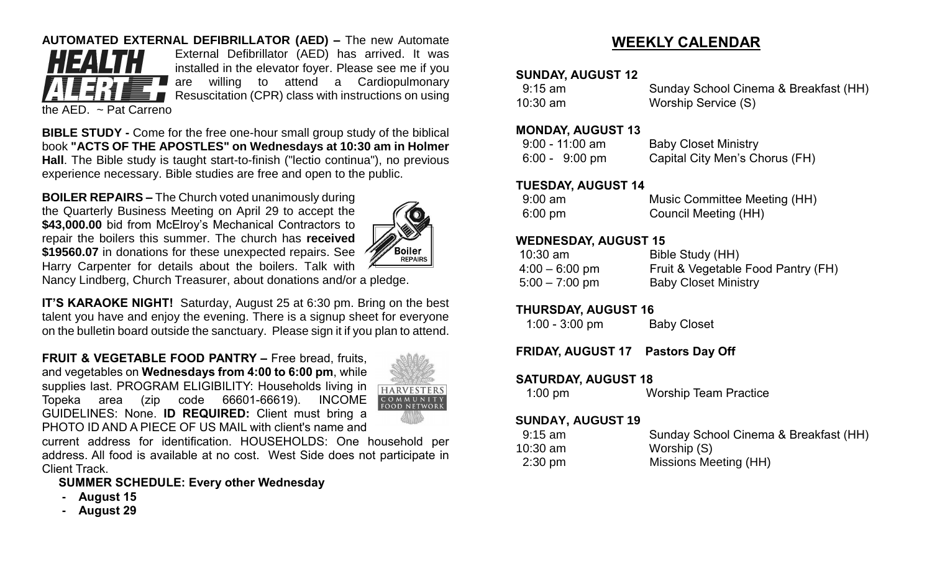## **AUTOMATED EXTERNAL DEFIBRILLATOR (AED) –** The new Automate



External Defibrillator (AED) has arrived. It was installed in the elevator foyer. Please see me if you are willing to attend a Cardiopulmonary Resuscitation (CPR) class with instructions on using

the AED. ~ Pat Carreno

**BIBLE STUDY -** Come for the free one-hour small group study of the biblical book **"ACTS OF THE APOSTLES" on Wednesdays at 10:30 am in Holmer Hall**. The Bible study is taught start-to-finish ("lectio continua"), no previous experience necessary. Bible studies are free and open to the public.

**BOILER REPAIRS –** The Church voted unanimously during the Quarterly Business Meeting on April 29 to accept the \$43,000.00 bid from McElroy's Mechanical Contractors to repair the boilers this summer. The church has **received \$19560.07** in donations for these unexpected repairs. See Harry Carpenter for details about the boilers. Talk with



Nancy Lindberg, Church Treasurer, about donations and/or a pledge.

**IT'S KARAOKE NIGHT!** Saturday, August 25 at 6:30 pm. Bring on the best talent you have and enjoy the evening. There is a signup sheet for everyone on the bulletin board outside the sanctuary. Please sign it if you plan to attend.

**FRUIT & VEGETABLE FOOD PANTRY –** Free bread, fruits, and vegetables on **Wednesdays from 4:00 to 6:00 pm**, while supplies last. PROGRAM ELIGIBILITY: Households living in Topeka area (zip code 66601-66619). INCOME GUIDELINES: None. **ID REQUIRED:** Client must bring a PHOTO ID AND A PIECE OF US MAIL with client's name and



current address for identification. HOUSEHOLDS: One household per address. All food is available at no cost. West Side does not participate in Client Track.

# **SUMMER SCHEDULE: Every other Wednesday**

- **- August 15**
- **- August 29**

# **WEEKLY CALENDAR**

#### **SUNDAY, AUGUST 12**

| 9:15 am    | Sunday School Cinema & Breakfast (HH) |
|------------|---------------------------------------|
| $10:30$ am | Worship Service (S)                   |

#### **MONDAY, AUGUST 13**

| $9:00 - 11:00$ am        | <b>Baby Closet Ministry</b>    |
|--------------------------|--------------------------------|
| $6:00 - 9:00 \text{ pm}$ | Capital City Men's Chorus (FH) |

#### **TUESDAY, AUGUST 14**

| $9:00 \text{ am}$ | Music Committee Meeting (HH) |
|-------------------|------------------------------|
| $6:00 \text{ pm}$ | Council Meeting (HH)         |

## **WEDNESDAY, AUGUST 15**

| $10:30$ am       | Bible Study (HH)                   |
|------------------|------------------------------------|
| $4:00 - 6:00$ pm | Fruit & Vegetable Food Pantry (FH) |
| $5:00 - 7:00$ pm | <b>Baby Closet Ministry</b>        |

## **THURSDAY, AUGUST 16**

1:00 - 3:00 pm Baby Closet

# **FRIDAY, AUGUST 17 Pastors Day Off**

## **SATURDAY, AUGUST 18**

1:00 pm Worship Team Practice

#### **SUNDAY, AUGUST 19**

| $9:15$ am | Sunday School Cinema & Breakfast (HH) |
|-----------|---------------------------------------|
| 10:30 am  | Worship (S)                           |
| $2:30$ pm | Missions Meeting (HH)                 |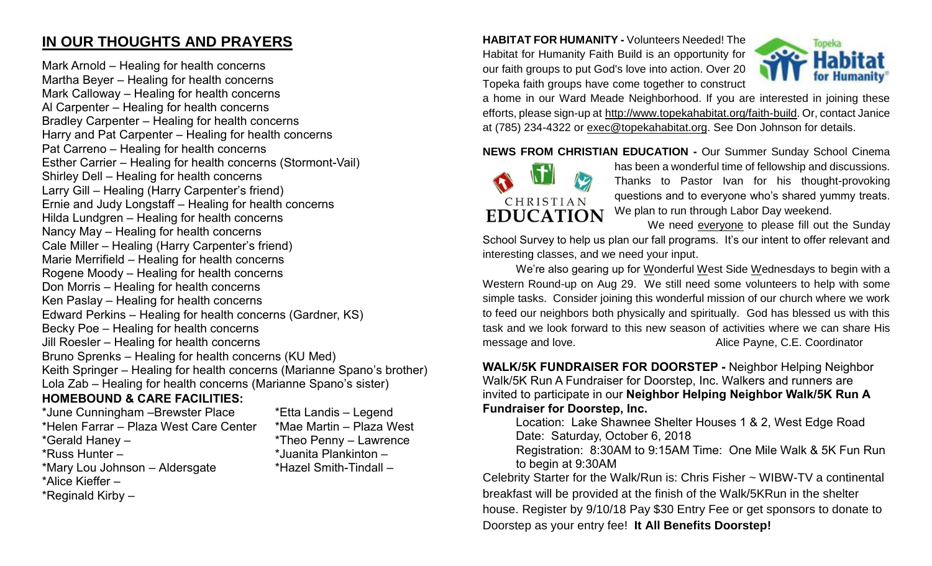# **IN OUR THOUGHTS AND PRAYERS**

Mark Arnold – Healing for health concerns Martha Beyer – Healing for health concerns Mark Calloway – Healing for health concerns Al Carpenter – Healing for health concerns Bradley Carpenter – Healing for health concerns Harry and Pat Carpenter – Healing for health concerns Pat Carreno – Healing for health concerns Esther Carrier – Healing for health concerns (Stormont-Vail) Shirley Dell – Healing for health concerns Larry Gill – Healing (Harry Carpenter's friend) Ernie and Judy Longstaff – Healing for health concerns Hilda Lundgren – Healing for health concerns Nancy May – Healing for health concerns Cale Miller – Healing (Harry Carpenter's friend) Marie Merrifield – Healing for health concerns Rogene Moody – Healing for health concerns Don Morris – Healing for health concerns Ken Paslay – Healing for health concerns Edward Perkins – Healing for health concerns (Gardner, KS) Becky Poe – Healing for health concerns Jill Roesler – Healing for health concerns Bruno Sprenks – Healing for health concerns (KU Med) Keith Springer – Healing for health concerns (Marianne Spano's brother) Lola Zab – Healing for health concerns (Marianne Spano's sister)

## **HOMEBOUND & CARE FACILITIES:**

\*June Cunningham –Brewster Place \*Etta Landis – Legend \*Helen Farrar – Plaza West Care Center \*Mae Martin – Plaza West \*Gerald Haney – \*Theo Penny – Lawrence \*Russ Hunter – \*Juanita Plankinton – \*Mary Lou Johnson – Aldersgate \*Hazel Smith-Tindall – \*Alice Kieffer – \*Reginald Kirby –

**HABITAT FOR HUMANITY -** Volunteers Needed! The Habitat for Humanity Faith Build is an opportunity for our faith groups to put God's love into action. Over 20 Topeka faith groups have come together to construct



a home in our Ward Meade Neighborhood. If you are interested in joining these efforts, please sign-up at [http://www.topekahabitat.org/faith-build.](http://www.topekahabitat.org/faith-build) Or, contact Janice at (785) 234-4322 or [exec@topekahabitat.org.](mailto:exec@topekahabitat.org) See Don Johnson for details.

**NEWS FROM CHRISTIAN EDUCATION -** Our Summer Sunday School Cinema



has been a wonderful time of fellowship and discussions. Thanks to Pastor Ivan for his thought-provoking questions and to everyone who's shared yummy treats. We plan to run through Labor Day weekend.

We need everyone to please fill out the Sunday

School Survey to help us plan our fall programs. It's our intent to offer relevant and interesting classes, and we need your input.

We're also gearing up for Wonderful West Side Wednesdays to begin with a Western Round-up on Aug 29. We still need some volunteers to help with some simple tasks. Consider joining this wonderful mission of our church where we work to feed our neighbors both physically and spiritually. God has blessed us with this task and we look forward to this new season of activities where we can share His message and love. Alice Payne, C.E. Coordinator

**WALK/5K FUNDRAISER FOR DOORSTEP -** Neighbor Helping Neighbor Walk/5K Run A Fundraiser for Doorstep, Inc. Walkers and runners are invited to participate in our **Neighbor Helping Neighbor Walk/5K Run A Fundraiser for Doorstep, Inc.**

Location: Lake Shawnee Shelter Houses 1 & 2, West Edge Road Date: Saturday, October 6, 2018

Registration: 8:30AM to 9:15AM Time: One Mile Walk & 5K Fun Run to begin at 9:30AM

Celebrity Starter for the Walk/Run is: Chris Fisher ~ WIBW-TV a continental breakfast will be provided at the finish of the Walk/5KRun in the shelter house. Register by 9/10/18 Pay \$30 Entry Fee or get sponsors to donate to Doorstep as your entry fee! **It All Benefits Doorstep!**